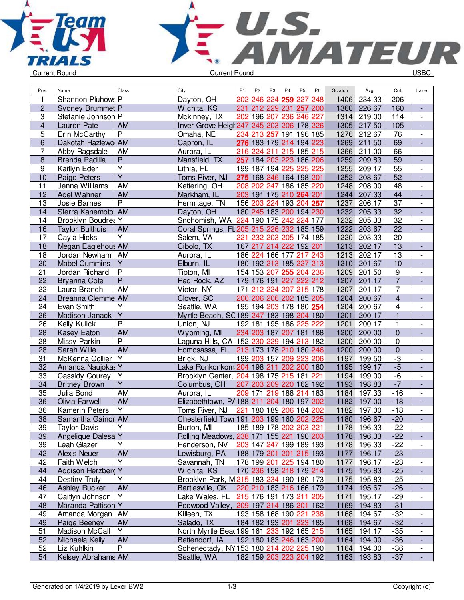



| Pos.                    | Name                                | Class                   | City                                      | P <sub>1</sub> | P <sub>2</sub> | P <sub>3</sub> | P <sub>4</sub>          | P <sub>5</sub> | P <sub>6</sub> | Scratch | Avg.        | Cut             | Lane                         |
|-------------------------|-------------------------------------|-------------------------|-------------------------------------------|----------------|----------------|----------------|-------------------------|----------------|----------------|---------|-------------|-----------------|------------------------------|
| $\mathbf{1}$            | Shannon Pluhows P                   |                         | Dayton, OH                                | 202            | 246            | 224            | 259                     | 227            | 248            | 1406    | 234.33      | 206             | $\overline{\phantom{a}}$     |
| $\overline{c}$          | Sydney Brummet P                    |                         | Wichita, KS                               | 231            |                |                | 212 229 231 257 200     |                |                | 1360    | 226.67      | 160             | $\overline{\phantom{a}}$     |
| 3                       | Stefanie Johnson P                  |                         | Mckinney, TX                              | 202            |                |                | 196 207 236 246 227     |                |                | 1314    | 219.00      | 114             | $\overline{\phantom{a}}$     |
| $\overline{\mathbf{4}}$ | Lauren Pate                         | AM                      | Inver Grove Heigh 247                     |                |                |                | 245 203 206 178 226     |                |                | 1305    | 217.50      | 105             | $\overline{\phantom{a}}$     |
| 5                       | Erin McCarthy                       | P                       | Omaha, NE                                 | 234            |                | 213 257        | 191 196 185             |                |                | 1276    | 212.67      | 76              | $\overline{\phantom{a}}$     |
| $\overline{6}$          | Dakotah Hazlewo AM                  |                         | Capron, IL                                |                |                |                | 276 183 179 214 194 223 |                |                | 1269    | 211.50      | 69              | $\frac{1}{2}$                |
| $\overline{7}$          | Abby Ragsdale                       | AM                      | Aurora, IL                                |                |                |                | 216 224 211 215 185 215 |                |                | 1266    | 211.00      | 66              | $\overline{\phantom{a}}$     |
| 8                       | <b>Brenda Padilla</b>               | $\overline{\mathsf{P}}$ | Mansfield, TX                             | 257            |                |                | 184 203 223 186 206     |                |                | 1259    | 209.83      | 59              | $\blacksquare$               |
| 9                       | Kaitlyn Eder                        | $\overline{\mathsf{Y}}$ | Lithia, FL                                |                |                |                | 199 187 194 225         | 225 225        |                | 1255    | 209.17      | 55              | $\overline{\phantom{a}}$     |
| 10                      | Paige Peters                        | $\overline{\mathsf{Y}}$ | Toms River, NJ                            |                |                |                | 275 168 246 164 198 201 |                |                | 1252    | 208.67      | 52              | $\blacksquare$               |
| 11                      | Jenna Williams                      | AM                      | Kettering, OH                             |                |                |                | 208 202 247 186 185 220 |                |                | 1248    | 208.00      | 48              | $\overline{\phantom{a}}$     |
| 12                      | Adel Wahner                         | AM                      | Markham, IL                               |                |                |                | 203 191 175 210 264 201 |                |                | 1244    | 207.33      | 44              | $\overline{\phantom{a}}$     |
| 13                      | Josie Barnes                        | $\overline{P}$          | Hermitage, TN                             |                |                |                | 156 203 224 193 204 257 |                |                | 1237    | 206.17      | 37              | $\overline{\phantom{a}}$     |
| 14                      | Sierra Kanemoto AM                  |                         | Dayton, OH                                |                |                |                | 180 245 183 200 194 230 |                |                | 1232    | 205.33      | $\overline{32}$ | $\overline{\phantom{a}}$     |
| 14                      | <b>Brooklyn Boudres Y</b>           |                         | Snohomish, WA                             | 224            |                | 190 175        | 242                     | 224            | 177            | 1232    | 205.33      | 32              | $\overline{\phantom{a}}$     |
| 16                      | <b>Taylor Bulthuis</b>              | AM                      | Coral Springs, FL205 215 226 232 185 159  |                |                |                |                         |                |                | 1222    | 203.67      | 22              | L,                           |
| 17                      | Cayla Hicks                         | $\overline{\mathsf{Y}}$ | Salem, VA                                 | 221            |                |                | 232 203 205 174 185     |                |                | 1220    | 203.33      | 20              | $\overline{\phantom{a}}$     |
| 18                      | Megan Eaglehous AM                  |                         | Cibolo, TX                                |                |                |                | 167 217 214 222 192 201 |                |                | 1213    | 202.17      | 13              | $\blacksquare$               |
| 18                      | Jordan Newham                       | AM                      | Aurora, IL                                |                |                |                | 186 224 166 177         | 217 243        |                | 1213    | 202.17      | 13              | $\blacksquare$               |
| 20                      | <b>Mabel Cummins</b>                | $\overline{Y}$          | Elburn, IL                                |                |                |                | 180 192 213 185 227 213 |                |                | 1210    | 201.67      | 10              | $\overline{\phantom{a}}$     |
| 21                      | Jordan Richard                      | $\overline{P}$          | Tipton, MI                                |                |                |                | 154 153 207 255 204 236 |                |                | 1209    | 201.50      | 9               | $\overline{\phantom{a}}$     |
| 22                      |                                     | $\overline{P}$          | Red Rock, AZ                              |                |                |                | 179 176 191 227 222 212 |                |                | 1207    | 201.17      | $\overline{7}$  |                              |
| 22                      | <b>Bryanna Cote</b><br>Laura Branch | AM                      | Victor, NY                                | 171            |                |                | 212 224 207 215 178     |                |                | 1207    | 201.17      | $\overline{7}$  | $\overline{\phantom{a}}$     |
|                         |                                     |                         |                                           |                |                |                |                         |                |                |         |             | $\overline{4}$  | $\qquad \qquad \blacksquare$ |
| 24                      | <b>Breanna Clemme AM</b>            |                         | Clover, SC                                |                |                |                | 200 206 206 202 185 205 |                |                | 1204    | 200.67      |                 | $\overline{\phantom{a}}$     |
| 24                      | Evan Smith                          | $\overline{Y}$          | Seattle, WA                               |                |                |                | 195 194 203 178 180 254 |                |                | 1204    | 200.67      | 4               | $\overline{\phantom{a}}$     |
| 26                      | Madison Janack                      | Ÿ                       | Myrtle Beach, SQ189 247 183 198 204 180   |                |                |                |                         |                |                | 1201    | 200.17      | $\overline{1}$  | $\overline{\phantom{a}}$     |
| 26                      | Kelly Kulick                        | $\overline{\mathsf{P}}$ | Union, NJ                                 |                |                |                | 192 181 195 186         | 225            | 222            | 1201    | 200.17      | 1               | $\overline{\phantom{a}}$     |
| 28                      | <b>Kasey Eaton</b>                  | <b>AM</b>               | Wyoming, MI                               |                |                |                | 234 203 187 207 181 188 |                |                | 1200    | 200.00      | $\mathbf 0$     | $\frac{1}{2}$                |
| 28                      | Missy Parkin                        | $\overline{P}$          | Laguna Hills, CA 152 230 229 194 213 182  |                |                |                |                         |                |                | 1200    | 200.00      | 0               | $\overline{\phantom{a}}$     |
| 28                      | Sarah Wille                         | AM                      | Homosassa, FL                             |                |                |                | 213 173 178 210 180 246 |                |                | 1200    | 200.00      | $\pmb{0}$       | $\overline{\phantom{a}}$     |
| 31                      | McKenna Collier                     | $\overline{Y}$          | Brick, NJ                                 |                |                |                | 199 203 157 209 223 206 |                |                | 1197    | 199.50      | $-3$            | $\overline{\phantom{a}}$     |
| 32                      | Amanda Naujokas Y                   |                         | Lake Ronkonkom 204 198 211 202 200 180    |                |                |                |                         |                |                | 1195    | 199.17      | $-5$            | $\overline{\phantom{a}}$     |
| 33                      | Cassidy Courey                      | Υ                       | Brooklyn Center, 204 198 175 215 181      |                |                |                |                         |                | 221            | 1194    | 199.00      | $-6$            | $\overline{\phantom{a}}$     |
| 34                      | <b>Britney Brown</b>                | $\overline{Y}$          | Columbus, OH                              |                |                |                | 207 203 209 220 162 192 |                |                | 1193    | 198.83      | $-7$            | $\overline{\phantom{a}}$     |
| 35                      | Julia Bond                          | AM                      | Aurora, IL                                | 209            | 171            |                | 219 188                 | 214 183        |                | 1184    | 197.33      | $-16$           | $\overline{\phantom{a}}$     |
| 36                      | Olivia Farwell                      | <b>AM</b>               | Elizabethtown, PA 188 211 204 180 197     |                |                |                |                         |                | 202            | 1182    | 197.00      | $-18$           | ÷,                           |
| 36                      | <b>Kamerin Peters</b>               | $\overline{Y}$          | Toms River, NJ                            | 221            |                |                | 180 189 206 184 202     |                |                | 1182    | 197.00      | $-18$           | $\overline{a}$               |
| $\overline{38}$         | Samantha Gainor AM                  |                         | Chesterfield Town 191 203 199 160 202 225 |                |                |                |                         |                |                | 1180    | 196.67      | $-20$           |                              |
| 39                      | <b>Taylor Davis</b>                 | Υ                       | Burton, MI                                |                |                |                | 185 189 178 202 203 221 |                |                |         | 1178 196.33 | $-22$           |                              |
| 39                      | Angelique Dalesa Y                  |                         | Rolling Meadows, 238 171 155 221 190 203  |                |                |                |                         |                |                |         | 1178 196.33 | $-22$           | $\frac{1}{2}$                |
| 39                      | Leah Glazer                         | Υ                       | Henderson, NV                             |                |                |                | 203 147 247 199 189 193 |                |                |         | 1178 196.33 | $-22$           | $\overline{\phantom{a}}$     |
| 42                      | <b>Alexis Neuer</b>                 | <b>AM</b>               | Lewisburg, PA                             |                |                |                | 188 179 201 201 215 193 |                |                | 1177    | 196.17      | $-23$           | ٠                            |
| 42                      | Faith Welch                         | Υ                       | Savannah, TN                              |                |                |                | 178 199 201 225 194 180 |                |                | 1177    | 196.17      | $-23$           | $\overline{\phantom{a}}$     |
| 44                      | Addison Herzberg Y                  |                         | Wichita, KS                               |                |                |                | 170 236 158 218 179 214 |                |                | 1175    | 195.83      | $-25$           | ٠                            |
| 44                      | Destiny Truly                       | $\overline{\mathsf{Y}}$ | Brooklyn Park, M215 183 234 190 180 173   |                |                |                |                         |                |                | 1175    | 195.83      | $-25$           | $\overline{\phantom{a}}$     |
| 46                      | <b>Ashley Rucker</b>                | AM                      | Bartlesville, OK                          |                |                |                | 220 210 183 216 166 179 |                |                | 1174    | 195.67      | $-26$           | $\overline{\phantom{a}}$     |
| 47                      | Caitlyn Johnson                     | Y                       | Lake Wales, FL                            |                |                |                | 215 176 191 173 211 205 |                |                | 1171    | 195.17      | $-29$           |                              |
| 48                      | Maranda Pattison Y                  |                         | Redwood Valley, 209 197 214 186 201 162   |                |                |                |                         |                |                | 1169    | 194.83      | $-31$           |                              |
| 49                      | Amanda Morgan   AM                  |                         | Killeen, TX                               |                |                |                | 193 158 168 190 221 238 |                |                | 1168    | 194.67      | $-32$           | $\overline{\phantom{a}}$     |
| 49                      | Paige Beeney                        | AM                      | Salado, TX                                |                |                |                | 184 182 193 201 223 185 |                |                |         | 1168 194.67 | $-32$           | $\overline{\phantom{a}}$     |
| 51                      | Madison McCall                      | Y                       | North Myrtle Bead 199 161 233 192 165 215 |                |                |                |                         |                |                | 1165    | 194.17      | $-35$           | $\overline{\phantom{a}}$     |
| 52                      | Michaela Kelly                      | <b>AM</b>               | Bettendorf, IA                            |                |                |                | 192 180 183 246 163 200 |                |                |         | 1164 194.00 | $-36$           | $\overline{\phantom{a}}$     |
| 52                      | Liz Kuhlkin                         | P                       | Schenectady, NY 153 180 214 202 225 190   |                |                |                |                         |                |                |         | 1164 194.00 | $-36$           | $\overline{\phantom{a}}$     |
| 54                      | Kelsey Abrahams AM                  |                         | Seattle, WA                               |                |                |                | 182 159 203 223 204 192 |                |                |         | 1163 193.83 | $-37$           | $\overline{\phantom{a}}$     |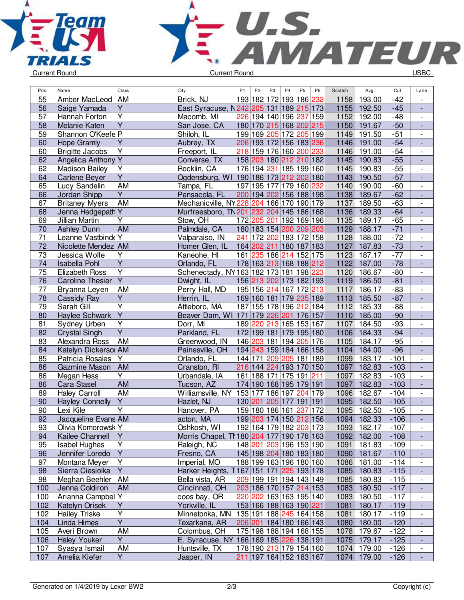



| Pos.            | Name                      | Class                                              | City                                      | P <sub>1</sub> | P <sub>2</sub>  | P <sub>3</sub> | P <sub>4</sub>          | P <sub>5</sub> | P <sub>6</sub> | Scratch | Avg.   | Cut    | Lane                         |
|-----------------|---------------------------|----------------------------------------------------|-------------------------------------------|----------------|-----------------|----------------|-------------------------|----------------|----------------|---------|--------|--------|------------------------------|
| 55              | Amber MacLeod             | AM                                                 | Brick, NJ                                 |                | 193 182         | 172            | 193                     | 186            | 232            | 1158    | 193.00 | $-42$  |                              |
| 56              | Saige Yamada              | Y                                                  | East Syracuse, N                          |                |                 |                | 242 205 131 189 215 173 |                |                | 1155    | 192.50 | $-45$  | $\blacksquare$               |
| 57              | Hannah Forton             | $\overline{Y}$                                     | Macomb, MI                                | 226            |                 |                | 194 140 196 237 159     |                |                | 1152    | 192.00 | $-48$  | $\overline{\phantom{0}}$     |
| 58              | Melanie Katen             | $\overline{Y}$                                     | San Jose, CA                              |                |                 |                | 180 170 215 168 202 215 |                |                | 1150    | 191.67 | $-50$  | $\overline{\phantom{0}}$     |
| 59              | Shannon O'Keefe P         |                                                    | Shiloh, IL                                |                |                 |                | 199 169 205 172 205 199 |                |                | 1149    | 191.50 | $-51$  | $\overline{\phantom{0}}$     |
| 60              | <b>Hope Gramly</b>        | $\overline{Y}$                                     | Aubrey, TX                                |                |                 |                | 206 193 172 156 183 236 |                |                | 1146    | 191.00 | $-54$  |                              |
| 60              | <b>Brigitte Jacobs</b>    | Υ                                                  | Freeport, IL                              | 218            |                 |                | 159 176 160 200 233     |                |                | 1146    | 191.00 | $-54$  | $\overline{\phantom{0}}$     |
| 62              | <b>Angelica Anthony Y</b> |                                                    | Converse, TX                              |                |                 |                | 158 203 180 212 210 182 |                |                | 1145    | 190.83 | $-55$  | $\overline{a}$               |
| 62              | <b>Madison Bailey</b>     | $\overline{\mathsf{Y}}$                            | Rocklin, CA                               |                |                 |                | 176 194 231 185 199 160 |                |                | 1145    | 190.83 | $-55$  | $\overline{\phantom{0}}$     |
| 64              | <b>Carlene Beyer</b>      | $\overline{Y}$                                     | Ogdensburg, WI 190 186 173 212 202 180    |                |                 |                |                         |                |                | 1143    | 190.50 | $-57$  | ÷,                           |
| 65              | Lucy Sandelin             | <b>AM</b>                                          | Tampa, FL                                 |                |                 |                | 197 195 177 179 160 232 |                |                | 1140    | 190.00 | $-60$  | $\overline{\phantom{0}}$     |
| 66              | Jordan Shipp              | $\overline{Y}$                                     | Pensacola, FL                             |                |                 |                | 200 194 202 156 188 198 |                |                | 1138    | 189.67 | $-62$  | $\overline{\phantom{a}}$     |
| 67              | <b>Britaney Myers</b>     | AM                                                 | Mechanicville, NY228 204 166 170          |                |                 |                |                         | 190 179        |                | 1137    | 189.50 | $-63$  | $\overline{\phantom{0}}$     |
| 68              | Jenna Hedgepath           | Y                                                  | Murfreesboro, TN 201 232 204 145 186 168  |                |                 |                |                         |                |                | 1136    | 189.33 | $-64$  | $\overline{\phantom{m}}$     |
| 69              | Jillian Martin            | Y                                                  | Stow, OH                                  |                |                 |                | 172 205 201 192 169 196 |                |                | 1135    | 189.17 | $-65$  | $\overline{\phantom{0}}$     |
| 70              | <b>Ashley Dunn</b>        | <b>AM</b>                                          | Palmdale, CA                              |                |                 |                | 180 183 154 200 209 203 |                |                | 1129    | 188.17 | $-71$  |                              |
| 71              | Leanne Vastbinde          | Y                                                  | Valparaiso, IN                            | 241            |                 |                | 172 202 183 172 158     |                |                | 1128    | 188.00 | $-72$  | $\overline{\phantom{0}}$     |
| 72              | Nicolette Mendez AM       |                                                    | Homer Glen, IL                            |                |                 |                | 164 202 211 180 187 183 |                |                | 1127    | 187.83 | $-73$  | $\frac{1}{2}$                |
| 73              | Jessica Wolfe             | $\overline{Y}$                                     | Kaneohe, HI                               |                |                 |                | 161 235 186 214 152 175 |                |                | 1123    | 187.17 | $-77$  | $\overline{\phantom{0}}$     |
| 74              | <b>Isabella Pohl</b>      | $\overline{Y}$                                     | Orlando, FL                               |                |                 |                | 178 163 213 168 188 212 |                |                | 1122    | 187.00 | $-78$  | $\frac{1}{2}$                |
| 75              | <b>Elizabeth Ross</b>     | $\overline{Y}$                                     | Schenectady, NY 163 182 173 181 198 223   |                |                 |                |                         |                |                | 1120    | 186.67 | $-80$  | $\overline{\phantom{0}}$     |
| 76              | <b>Caroline Thesier</b>   | $\overline{Y}$                                     | Dwight, IL                                |                |                 |                | 156 213 202 173 182 193 |                |                | 1119    | 186.50 | $-81$  | $\blacksquare$               |
| 77              | Bryanna Leyen             | AM                                                 | Perry Hall, MD                            |                | 195 156 214 167 |                |                         | 172 213        |                | 1117    | 186.17 | $-83$  |                              |
|                 |                           | $\overline{Y}$                                     |                                           |                |                 |                |                         |                |                |         |        |        | $\overline{\phantom{0}}$     |
| 78              | Cassidy Ray               | $\overline{\mathsf{Y}}$                            | Herrin, IL                                |                |                 |                | 169 160 181 179 235 189 |                |                | 1113    | 185.50 | $-87$  | $\qquad \qquad \blacksquare$ |
| 79              | Sarah Gill                | $\overline{Y}$                                     | Attleboro, MA                             |                |                 |                | 187 155 178 196 212 184 |                |                | 1112    | 185.33 | $-88$  | $\overline{\phantom{0}}$     |
| 80              | Haylee Schwark            |                                                    | Beaver Dam, WI 171 179 226 201 176 157    |                |                 |                |                         |                |                | 1110    | 185.00 | $-90$  | L,                           |
| 81              | Sydney Urben              | $\overline{\mathsf{Y}}$<br>$\overline{\mathsf{Y}}$ | Dorr, MI                                  |                |                 |                | 189 220 213 165 153 167 |                |                | 1107    | 184.50 | $-93$  | $\overline{\phantom{a}}$     |
| 82              | <b>Crystal Singh</b>      |                                                    | Parkland, FL                              |                |                 |                | 172 199 181 179 195 180 |                |                | 1106    | 184.33 | $-94$  | $\frac{1}{2}$                |
| 83              | Alexandra Ross            | <b>AM</b>                                          | Greenwood, IN                             |                |                 |                | 146 203 181 194         | 205 176        |                | 1105    | 184.17 | $-95$  | $\overline{\phantom{0}}$     |
| 84              | Katelyn Dickersol AM      |                                                    | Painesville, OH                           |                |                 |                | 194 243 159 184 166 158 |                |                | 1104    | 184.00 | $-96$  | ÷,                           |
| 85              | Patricia Rosales          | Y                                                  | Orlando, FL                               |                |                 |                | 144 171 209 205 181 189 |                |                | 1099    | 183.17 | $-101$ | $\frac{1}{2}$                |
| 86              | Gazmine Mason             | <b>AM</b>                                          | Cranston, RI                              |                |                 |                | 216 144 224 193 170 150 |                |                | 1097    | 182.83 | $-103$ | ÷,                           |
| 86              | Megan Hess                | Υ                                                  | Urbandale, IA                             |                |                 |                | 161   188   171   175   | 191 211        |                | 1097    | 182.83 | $-103$ | $\overline{\phantom{0}}$     |
| 86              | Cara Stasel               | AM                                                 | Tucson, AZ                                |                |                 |                | 174 190 168 195 179 191 |                |                | 1097    | 182.83 | $-103$ |                              |
| 89              | <b>Haley Carroll</b>      | <b>AM</b>                                          | Williamsville, NY                         |                |                 |                | 153 177 186 197 204 179 |                |                | 1096    | 182.67 | $-104$ | $\blacksquare$               |
| 90              | <b>Hayley Connelly</b>    | $\overline{Y}$                                     | Hazlet, NJ                                |                |                 |                | 130 201 205 177 191 191 |                |                | 1095    | 182.50 | $-105$ | ÷,                           |
| 90              | Lexi Kile                 | $\overline{\mathsf{Y}}$                            | Hanover, PA                               |                |                 |                | 159 180 186 161 237     |                | 172            | 1095    | 182.50 | $-105$ | $\overline{\phantom{a}}$     |
| $\overline{92}$ | Jacqueline Evans AM       |                                                    | acton, MA                                 |                |                 |                | 199 203 174 150 212 156 |                |                | 1094    | 182.33 | $-106$ |                              |
| 93              | Olivia Komorowsk Y        |                                                    | Oshkosh, WI                               |                |                 |                | 192 164 179 182 203 173 |                |                | 1093    | 182.17 | $-107$ |                              |
| 94              | Kailee Channell           | Y                                                  | Morris Chapel, T\ 180 204 177 190 178 163 |                |                 |                |                         |                |                | 1092    | 182.00 | $-108$ | $\blacksquare$               |
| 95              | <b>Isabel Hughes</b>      | $\overline{Y}$                                     | Raleigh, NC                               |                |                 |                | 148 201 203 196 153 190 |                |                | 1091    | 181.83 | $-109$ | $\overline{\phantom{0}}$     |
| 96              | Jennifer Loredo           | Y                                                  | Fresno, CA                                |                |                 |                | 145 198 204 180 183 180 |                |                | 1090    | 181.67 | $-110$ | $\overline{\phantom{a}}$     |
| 97              | Montana Meyer             | Υ                                                  | Imperial, MO                              |                |                 |                | 188 199 163 196 180 160 |                |                | 1086    | 181.00 | $-114$ | $\overline{\phantom{a}}$     |
| 98              | Sierra Ciesiolka          | Y                                                  | Harker Heights, 1167 151 171 225 193 178  |                |                 |                |                         |                |                | 1085    | 180.83 | $-115$ |                              |
| 98              | Meghan Beehler            | AM                                                 | Bella vista, AR                           |                |                 |                | 209 199 191 194 143 149 |                |                | 1085    | 180.83 | $-115$ |                              |
| 100             | Jenna Coldiron            | <b>AM</b>                                          | Cincinnati, OH                            |                |                 |                | 203 186 170 157 214 153 |                |                | 1083    | 180.50 | $-117$ |                              |
| 100             | Arianna Campbel           | Y                                                  | coos bay, OR                              |                |                 |                | 220 202 163 163 195 140 |                |                | 1083    | 180.50 | $-117$ |                              |
| 102             | Katelyn Orisek            | $\overline{Y}$                                     | Yorkville, IL                             |                |                 |                | 153 166 188 163 190 221 |                |                | 1081    | 180.17 | $-119$ |                              |
| 102             | <b>Hailey Triske</b>      | Y                                                  | Minnetonka, MN                            |                |                 |                | 135 191 188 245 164 158 |                |                | 1081    | 180.17 | $-119$ | $\overline{\phantom{0}}$     |
| 104             | Linda Himes               | $\overline{Y}$                                     | Texarkana, AR                             |                |                 |                | 206 201 184 180 166 143 |                |                | 1080    | 180.00 | $-120$ | $\blacksquare$               |
| 105             | Averi Brown               | AM                                                 | Colombus, OH                              |                |                 |                | 175 198 188 194 168 155 |                |                | 1078    | 179.67 | $-122$ | $\overline{\phantom{0}}$     |
| 106             | <b>Haley Youker</b>       | Y                                                  | E. Syracuse, NY                           |                |                 |                | 166 169 185 226 138 191 |                |                | 1075    | 179.17 | $-125$ | $\overline{\phantom{a}}$     |
| 107             | Syasya Ismail             | AM                                                 | Huntsville, TX                            |                |                 |                | 178 190 213 179 154 160 |                |                | 1074    | 179.00 | $-126$ | $\overline{\phantom{a}}$     |
| 107             | Amelia Kiefer             | Y                                                  | Jasper, IN                                |                |                 |                | 211 197 164 152 183 167 |                |                | 1074    | 179.00 | $-126$ | $\blacksquare$               |